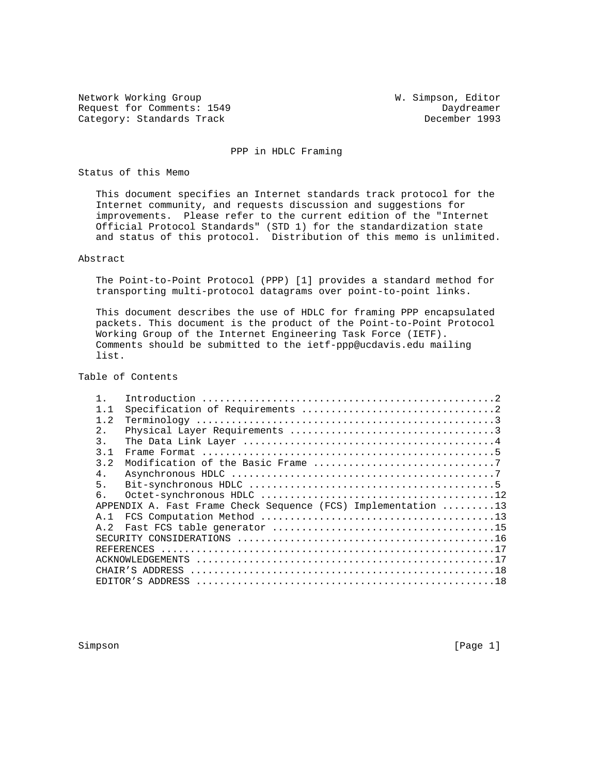Network Working Group W. Simpson, Editor Request for Comments: 1549 Daydreamer Category: Standards Track

## PPP in HDLC Framing

## Status of this Memo

 This document specifies an Internet standards track protocol for the Internet community, and requests discussion and suggestions for improvements. Please refer to the current edition of the "Internet Official Protocol Standards" (STD 1) for the standardization state and status of this protocol. Distribution of this memo is unlimited.

# Abstract

 The Point-to-Point Protocol (PPP) [1] provides a standard method for transporting multi-protocol datagrams over point-to-point links.

 This document describes the use of HDLC for framing PPP encapsulated packets. This document is the product of the Point-to-Point Protocol Working Group of the Internet Engineering Task Force (IETF). Comments should be submitted to the ietf-ppp@ucdavis.edu mailing list.

# Table of Contents

| 1.1              |                                                                                                                   |  |
|------------------|-------------------------------------------------------------------------------------------------------------------|--|
| 1.2              |                                                                                                                   |  |
| 2.               |                                                                                                                   |  |
| $\overline{3}$ . |                                                                                                                   |  |
| 3 <sub>1</sub>   |                                                                                                                   |  |
| 3.2              |                                                                                                                   |  |
| 4.               |                                                                                                                   |  |
| 5.               | Bit-synchronous HDLC $\ldots \ldots \ldots \ldots \ldots \ldots \ldots \ldots \ldots \ldots \ldots \ldots \ldots$ |  |
| 6.               |                                                                                                                   |  |
|                  | APPENDIX A. Fast Frame Check Sequence (FCS) Implementation 13                                                     |  |
| A. 1             |                                                                                                                   |  |
| A 2              |                                                                                                                   |  |
|                  |                                                                                                                   |  |
|                  |                                                                                                                   |  |
|                  |                                                                                                                   |  |
|                  |                                                                                                                   |  |
|                  |                                                                                                                   |  |

Simpson [Page 1] [Page 1] [Page 1] [Page 1] [Page 1] [Page 1] [Page 1] [Page 1] [Page 1] [Page 1] [Page 1] [Page 1] [Page 1] [Page 1] [Page 1] [Page 1] [Page 1] [Page 1] [Page 1] [Page 1] [Page 1] [Page 1] [Page 1] [Page 1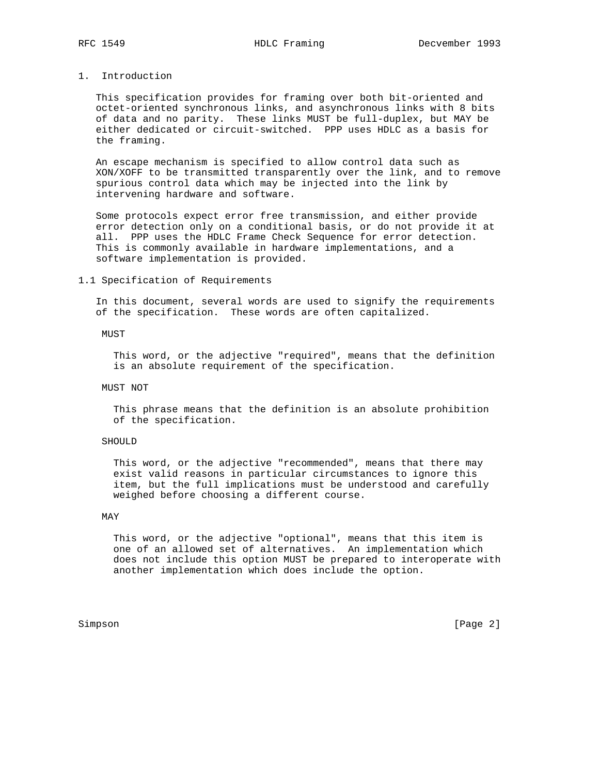## 1. Introduction

 This specification provides for framing over both bit-oriented and octet-oriented synchronous links, and asynchronous links with 8 bits of data and no parity. These links MUST be full-duplex, but MAY be either dedicated or circuit-switched. PPP uses HDLC as a basis for the framing.

 An escape mechanism is specified to allow control data such as XON/XOFF to be transmitted transparently over the link, and to remove spurious control data which may be injected into the link by intervening hardware and software.

 Some protocols expect error free transmission, and either provide error detection only on a conditional basis, or do not provide it at all. PPP uses the HDLC Frame Check Sequence for error detection. This is commonly available in hardware implementations, and a software implementation is provided.

## 1.1 Specification of Requirements

 In this document, several words are used to signify the requirements of the specification. These words are often capitalized.

## MUST

 This word, or the adjective "required", means that the definition is an absolute requirement of the specification.

## MUST NOT

 This phrase means that the definition is an absolute prohibition of the specification.

## SHOULD

 This word, or the adjective "recommended", means that there may exist valid reasons in particular circumstances to ignore this item, but the full implications must be understood and carefully weighed before choosing a different course.

## MAY

 This word, or the adjective "optional", means that this item is one of an allowed set of alternatives. An implementation which does not include this option MUST be prepared to interoperate with another implementation which does include the option.

Simpson [Page 2]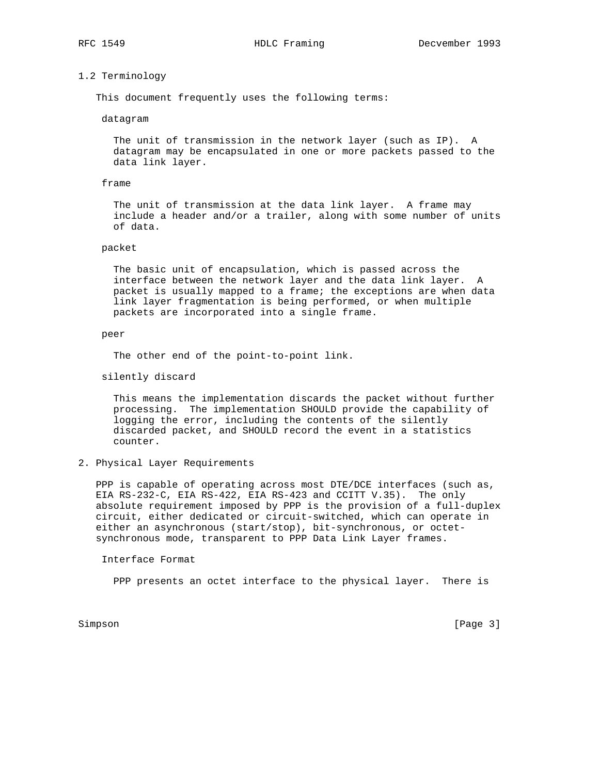## 1.2 Terminology

This document frequently uses the following terms:

datagram

 The unit of transmission in the network layer (such as IP). A datagram may be encapsulated in one or more packets passed to the data link layer.

## frame

 The unit of transmission at the data link layer. A frame may include a header and/or a trailer, along with some number of units of data.

## packet

 The basic unit of encapsulation, which is passed across the interface between the network layer and the data link layer. A packet is usually mapped to a frame; the exceptions are when data link layer fragmentation is being performed, or when multiple packets are incorporated into a single frame.

#### peer

The other end of the point-to-point link.

silently discard

 This means the implementation discards the packet without further processing. The implementation SHOULD provide the capability of logging the error, including the contents of the silently discarded packet, and SHOULD record the event in a statistics counter.

# 2. Physical Layer Requirements

 PPP is capable of operating across most DTE/DCE interfaces (such as, EIA RS-232-C, EIA RS-422, EIA RS-423 and CCITT V.35). The only absolute requirement imposed by PPP is the provision of a full-duplex circuit, either dedicated or circuit-switched, which can operate in either an asynchronous (start/stop), bit-synchronous, or octet synchronous mode, transparent to PPP Data Link Layer frames.

Interface Format

PPP presents an octet interface to the physical layer. There is

Simpson [Page 3]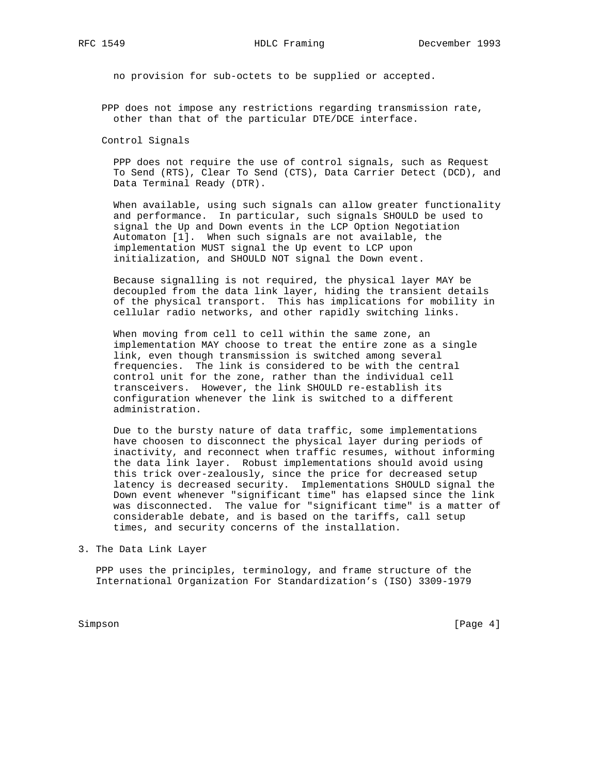no provision for sub-octets to be supplied or accepted.

 PPP does not impose any restrictions regarding transmission rate, other than that of the particular DTE/DCE interface.

Control Signals

 PPP does not require the use of control signals, such as Request To Send (RTS), Clear To Send (CTS), Data Carrier Detect (DCD), and Data Terminal Ready (DTR).

 When available, using such signals can allow greater functionality and performance. In particular, such signals SHOULD be used to signal the Up and Down events in the LCP Option Negotiation Automaton [1]. When such signals are not available, the implementation MUST signal the Up event to LCP upon initialization, and SHOULD NOT signal the Down event.

 Because signalling is not required, the physical layer MAY be decoupled from the data link layer, hiding the transient details of the physical transport. This has implications for mobility in cellular radio networks, and other rapidly switching links.

 When moving from cell to cell within the same zone, an implementation MAY choose to treat the entire zone as a single link, even though transmission is switched among several frequencies. The link is considered to be with the central control unit for the zone, rather than the individual cell transceivers. However, the link SHOULD re-establish its configuration whenever the link is switched to a different administration.

 Due to the bursty nature of data traffic, some implementations have choosen to disconnect the physical layer during periods of inactivity, and reconnect when traffic resumes, without informing the data link layer. Robust implementations should avoid using this trick over-zealously, since the price for decreased setup latency is decreased security. Implementations SHOULD signal the Down event whenever "significant time" has elapsed since the link was disconnected. The value for "significant time" is a matter of considerable debate, and is based on the tariffs, call setup times, and security concerns of the installation.

3. The Data Link Layer

 PPP uses the principles, terminology, and frame structure of the International Organization For Standardization's (ISO) 3309-1979

Simpson [Page 4]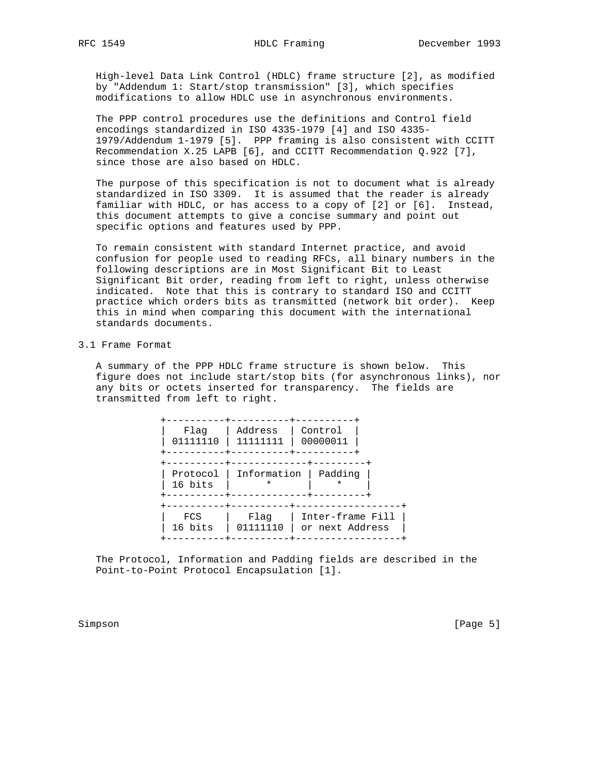High-level Data Link Control (HDLC) frame structure [2], as modified by "Addendum 1: Start/stop transmission" [3], which specifies modifications to allow HDLC use in asynchronous environments.

 The PPP control procedures use the definitions and Control field encodings standardized in ISO 4335-1979 [4] and ISO 4335- 1979/Addendum 1-1979 [5]. PPP framing is also consistent with CCITT Recommendation X.25 LAPB [6], and CCITT Recommendation Q.922 [7], since those are also based on HDLC.

 The purpose of this specification is not to document what is already standardized in ISO 3309. It is assumed that the reader is already familiar with HDLC, or has access to a copy of [2] or [6]. Instead, this document attempts to give a concise summary and point out specific options and features used by PPP.

 To remain consistent with standard Internet practice, and avoid confusion for people used to reading RFCs, all binary numbers in the following descriptions are in Most Significant Bit to Least Significant Bit order, reading from left to right, unless otherwise indicated. Note that this is contrary to standard ISO and CCITT practice which orders bits as transmitted (network bit order). Keep this in mind when comparing this document with the international standards documents.

## 3.1 Frame Format

 A summary of the PPP HDLC frame structure is shown below. This figure does not include start/stop bits (for asynchronous links), nor any bits or octets inserted for transparency. The fields are transmitted from left to right.

| Flaq<br>01111110    | Address<br>11111111 | Control<br>00000011                 |  |
|---------------------|---------------------|-------------------------------------|--|
| Protocol<br>16 bits | Information<br>*    | Padding<br>*                        |  |
| FCS<br>16 bits      | Flaq<br>01111110    | Inter-frame Fill<br>or next Address |  |

 The Protocol, Information and Padding fields are described in the Point-to-Point Protocol Encapsulation [1].

Simpson [Page 5]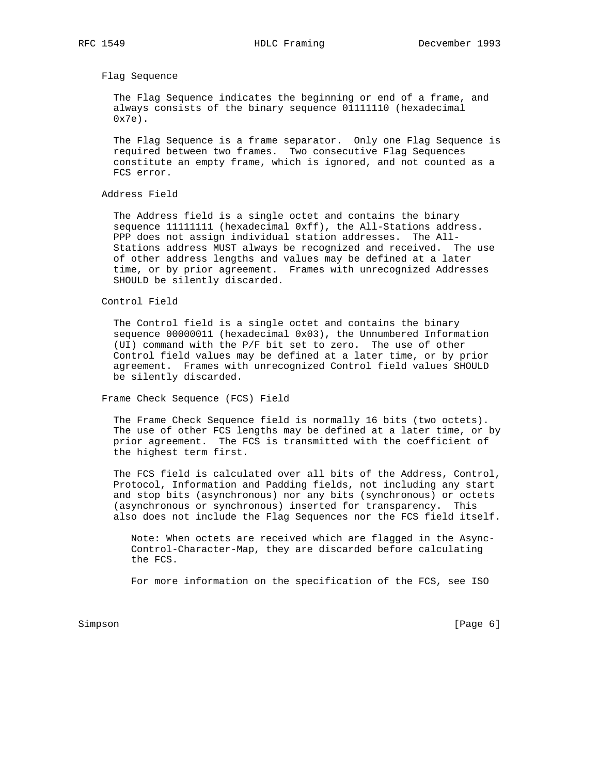Flag Sequence

 The Flag Sequence indicates the beginning or end of a frame, and always consists of the binary sequence 01111110 (hexadecimal 0x7e).

 The Flag Sequence is a frame separator. Only one Flag Sequence is required between two frames. Two consecutive Flag Sequences constitute an empty frame, which is ignored, and not counted as a FCS error.

## Address Field

 The Address field is a single octet and contains the binary sequence 11111111 (hexadecimal 0xff), the All-Stations address. PPP does not assign individual station addresses. The All- Stations address MUST always be recognized and received. The use of other address lengths and values may be defined at a later time, or by prior agreement. Frames with unrecognized Addresses SHOULD be silently discarded.

## Control Field

 The Control field is a single octet and contains the binary sequence 00000011 (hexadecimal 0x03), the Unnumbered Information (UI) command with the P/F bit set to zero. The use of other Control field values may be defined at a later time, or by prior agreement. Frames with unrecognized Control field values SHOULD be silently discarded.

Frame Check Sequence (FCS) Field

 The Frame Check Sequence field is normally 16 bits (two octets). The use of other FCS lengths may be defined at a later time, or by prior agreement. The FCS is transmitted with the coefficient of the highest term first.

 The FCS field is calculated over all bits of the Address, Control, Protocol, Information and Padding fields, not including any start and stop bits (asynchronous) nor any bits (synchronous) or octets (asynchronous or synchronous) inserted for transparency. This also does not include the Flag Sequences nor the FCS field itself.

 Note: When octets are received which are flagged in the Async- Control-Character-Map, they are discarded before calculating the FCS.

For more information on the specification of the FCS, see ISO

Simpson [Page 6] [Page 6] [Page 6] [Page 6] [Page 6] [Page 6] [Page 6] [Page 6] [Page 6] [Page 6] [Page 6] [Page 6] [Page 6] [Page 6] [Page 6] [Page 6] [Page 6] [Page 6] [Page 6] [Page 6] [Page 6] [Page 6] [Page 6] [Page 6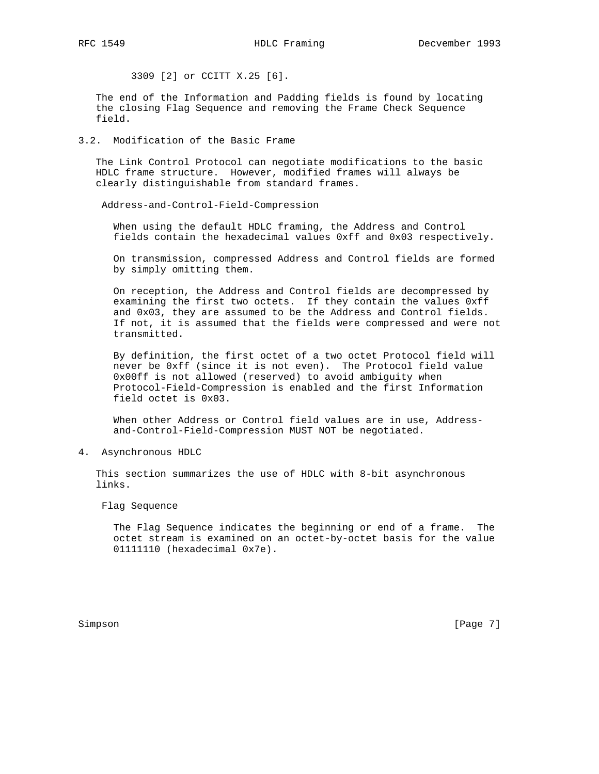3309 [2] or CCITT X.25 [6].

 The end of the Information and Padding fields is found by locating the closing Flag Sequence and removing the Frame Check Sequence field.

# 3.2. Modification of the Basic Frame

 The Link Control Protocol can negotiate modifications to the basic HDLC frame structure. However, modified frames will always be clearly distinguishable from standard frames.

Address-and-Control-Field-Compression

 When using the default HDLC framing, the Address and Control fields contain the hexadecimal values 0xff and 0x03 respectively.

 On transmission, compressed Address and Control fields are formed by simply omitting them.

 On reception, the Address and Control fields are decompressed by examining the first two octets. If they contain the values 0xff and 0x03, they are assumed to be the Address and Control fields. If not, it is assumed that the fields were compressed and were not transmitted.

 By definition, the first octet of a two octet Protocol field will never be 0xff (since it is not even). The Protocol field value 0x00ff is not allowed (reserved) to avoid ambiguity when Protocol-Field-Compression is enabled and the first Information field octet is 0x03.

 When other Address or Control field values are in use, Address and-Control-Field-Compression MUST NOT be negotiated.

4. Asynchronous HDLC

 This section summarizes the use of HDLC with 8-bit asynchronous links.

Flag Sequence

 The Flag Sequence indicates the beginning or end of a frame. The octet stream is examined on an octet-by-octet basis for the value 01111110 (hexadecimal 0x7e).

Simpson [Page 7]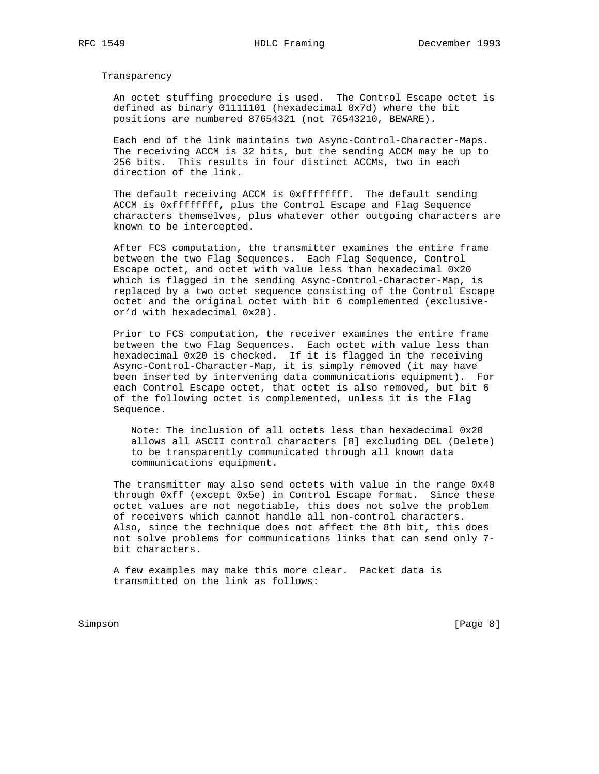Transparency

 An octet stuffing procedure is used. The Control Escape octet is defined as binary 01111101 (hexadecimal 0x7d) where the bit positions are numbered 87654321 (not 76543210, BEWARE).

 Each end of the link maintains two Async-Control-Character-Maps. The receiving ACCM is 32 bits, but the sending ACCM may be up to 256 bits. This results in four distinct ACCMs, two in each direction of the link.

 The default receiving ACCM is 0xffffffff. The default sending ACCM is 0xffffffff, plus the Control Escape and Flag Sequence characters themselves, plus whatever other outgoing characters are known to be intercepted.

 After FCS computation, the transmitter examines the entire frame between the two Flag Sequences. Each Flag Sequence, Control Escape octet, and octet with value less than hexadecimal 0x20 which is flagged in the sending Async-Control-Character-Map, is replaced by a two octet sequence consisting of the Control Escape octet and the original octet with bit 6 complemented (exclusive or'd with hexadecimal 0x20).

 Prior to FCS computation, the receiver examines the entire frame between the two Flag Sequences. Each octet with value less than hexadecimal 0x20 is checked. If it is flagged in the receiving Async-Control-Character-Map, it is simply removed (it may have been inserted by intervening data communications equipment). For each Control Escape octet, that octet is also removed, but bit 6 of the following octet is complemented, unless it is the Flag Sequence.

> Note: The inclusion of all octets less than hexadecimal 0x20 allows all ASCII control characters [8] excluding DEL (Delete) to be transparently communicated through all known data communications equipment.

 The transmitter may also send octets with value in the range 0x40 through 0xff (except 0x5e) in Control Escape format. Since these octet values are not negotiable, this does not solve the problem of receivers which cannot handle all non-control characters. Also, since the technique does not affect the 8th bit, this does not solve problems for communications links that can send only 7 bit characters.

 A few examples may make this more clear. Packet data is transmitted on the link as follows:

Simpson [Page 8]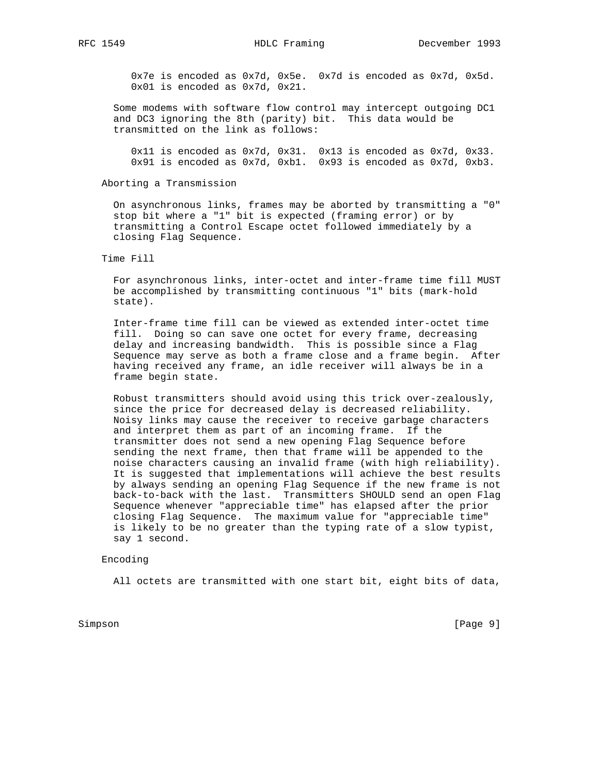0x7e is encoded as 0x7d, 0x5e. 0x7d is encoded as 0x7d, 0x5d. 0x01 is encoded as 0x7d, 0x21.

 Some modems with software flow control may intercept outgoing DC1 and DC3 ignoring the 8th (parity) bit. This data would be transmitted on the link as follows:

 0x11 is encoded as 0x7d, 0x31. 0x13 is encoded as 0x7d, 0x33. 0x91 is encoded as 0x7d, 0xb1. 0x93 is encoded as 0x7d, 0xb3.

## Aborting a Transmission

 On asynchronous links, frames may be aborted by transmitting a "0" stop bit where a "1" bit is expected (framing error) or by transmitting a Control Escape octet followed immediately by a closing Flag Sequence.

Time Fill

 For asynchronous links, inter-octet and inter-frame time fill MUST be accomplished by transmitting continuous "1" bits (mark-hold state).

 Inter-frame time fill can be viewed as extended inter-octet time fill. Doing so can save one octet for every frame, decreasing delay and increasing bandwidth. This is possible since a Flag Sequence may serve as both a frame close and a frame begin. After having received any frame, an idle receiver will always be in a frame begin state.

 Robust transmitters should avoid using this trick over-zealously, since the price for decreased delay is decreased reliability. Noisy links may cause the receiver to receive garbage characters and interpret them as part of an incoming frame. If the transmitter does not send a new opening Flag Sequence before sending the next frame, then that frame will be appended to the noise characters causing an invalid frame (with high reliability). It is suggested that implementations will achieve the best results by always sending an opening Flag Sequence if the new frame is not back-to-back with the last. Transmitters SHOULD send an open Flag Sequence whenever "appreciable time" has elapsed after the prior closing Flag Sequence. The maximum value for "appreciable time" is likely to be no greater than the typing rate of a slow typist, say 1 second.

## Encoding

All octets are transmitted with one start bit, eight bits of data,

Simpson [Page 9] [Page 9]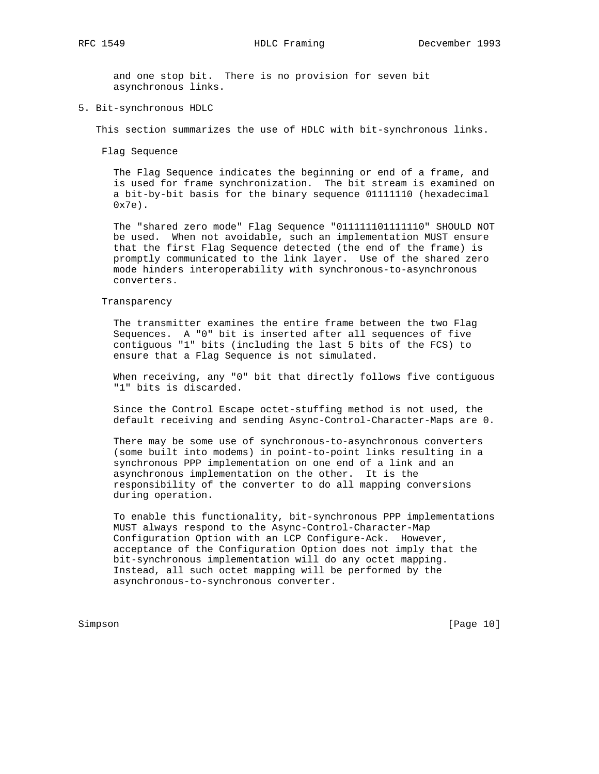and one stop bit. There is no provision for seven bit asynchronous links.

5. Bit-synchronous HDLC

This section summarizes the use of HDLC with bit-synchronous links.

Flag Sequence

 The Flag Sequence indicates the beginning or end of a frame, and is used for frame synchronization. The bit stream is examined on a bit-by-bit basis for the binary sequence 01111110 (hexadecimal 0x7e).

 The "shared zero mode" Flag Sequence "011111101111110" SHOULD NOT be used. When not avoidable, such an implementation MUST ensure that the first Flag Sequence detected (the end of the frame) is promptly communicated to the link layer. Use of the shared zero mode hinders interoperability with synchronous-to-asynchronous converters.

## Transparency

 The transmitter examines the entire frame between the two Flag Sequences. A "0" bit is inserted after all sequences of five contiguous "1" bits (including the last 5 bits of the FCS) to ensure that a Flag Sequence is not simulated.

 When receiving, any "0" bit that directly follows five contiguous "1" bits is discarded.

 Since the Control Escape octet-stuffing method is not used, the default receiving and sending Async-Control-Character-Maps are 0.

 There may be some use of synchronous-to-asynchronous converters (some built into modems) in point-to-point links resulting in a synchronous PPP implementation on one end of a link and an asynchronous implementation on the other. It is the responsibility of the converter to do all mapping conversions during operation.

 To enable this functionality, bit-synchronous PPP implementations MUST always respond to the Async-Control-Character-Map Configuration Option with an LCP Configure-Ack. However, acceptance of the Configuration Option does not imply that the bit-synchronous implementation will do any octet mapping. Instead, all such octet mapping will be performed by the asynchronous-to-synchronous converter.

Simpson [Page 10]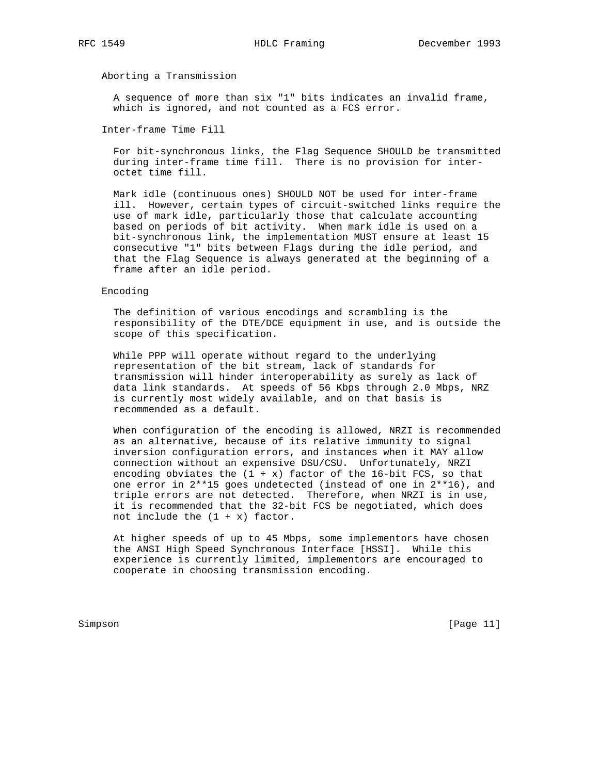Aborting a Transmission

 A sequence of more than six "1" bits indicates an invalid frame, which is ignored, and not counted as a FCS error.

Inter-frame Time Fill

 For bit-synchronous links, the Flag Sequence SHOULD be transmitted during inter-frame time fill. There is no provision for inter octet time fill.

 Mark idle (continuous ones) SHOULD NOT be used for inter-frame ill. However, certain types of circuit-switched links require the use of mark idle, particularly those that calculate accounting based on periods of bit activity. When mark idle is used on a bit-synchronous link, the implementation MUST ensure at least 15 consecutive "1" bits between Flags during the idle period, and that the Flag Sequence is always generated at the beginning of a frame after an idle period.

### Encoding

 The definition of various encodings and scrambling is the responsibility of the DTE/DCE equipment in use, and is outside the scope of this specification.

 While PPP will operate without regard to the underlying representation of the bit stream, lack of standards for transmission will hinder interoperability as surely as lack of data link standards. At speeds of 56 Kbps through 2.0 Mbps, NRZ is currently most widely available, and on that basis is recommended as a default.

 When configuration of the encoding is allowed, NRZI is recommended as an alternative, because of its relative immunity to signal inversion configuration errors, and instances when it MAY allow connection without an expensive DSU/CSU. Unfortunately, NRZI encoding obviates the  $(1 + x)$  factor of the 16-bit FCS, so that one error in 2\*\*15 goes undetected (instead of one in 2\*\*16), and triple errors are not detected. Therefore, when NRZI is in use, it is recommended that the 32-bit FCS be negotiated, which does not include the  $(1 + x)$  factor.

 At higher speeds of up to 45 Mbps, some implementors have chosen the ANSI High Speed Synchronous Interface [HSSI]. While this experience is currently limited, implementors are encouraged to cooperate in choosing transmission encoding.

Simpson [Page 11]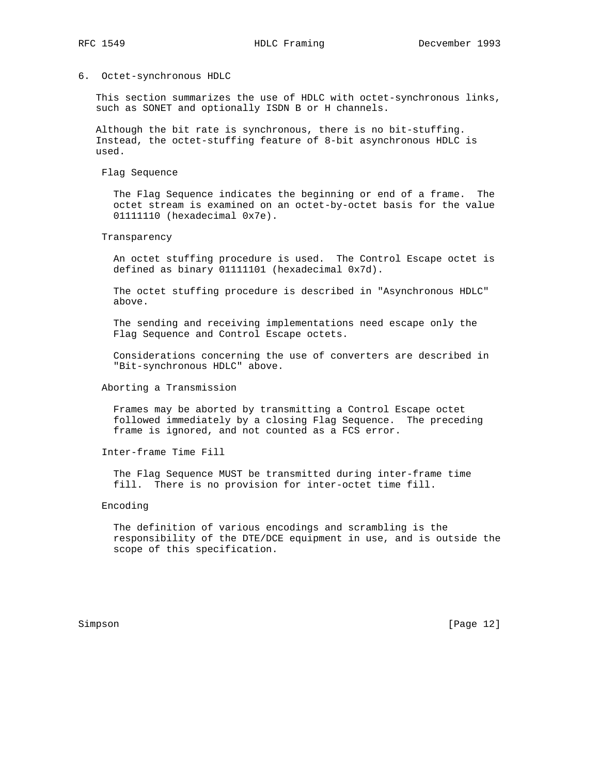## 6. Octet-synchronous HDLC

 This section summarizes the use of HDLC with octet-synchronous links, such as SONET and optionally ISDN B or H channels.

 Although the bit rate is synchronous, there is no bit-stuffing. Instead, the octet-stuffing feature of 8-bit asynchronous HDLC is used.

Flag Sequence

 The Flag Sequence indicates the beginning or end of a frame. The octet stream is examined on an octet-by-octet basis for the value 01111110 (hexadecimal 0x7e).

Transparency

 An octet stuffing procedure is used. The Control Escape octet is defined as binary 01111101 (hexadecimal 0x7d).

 The octet stuffing procedure is described in "Asynchronous HDLC" above.

 The sending and receiving implementations need escape only the Flag Sequence and Control Escape octets.

 Considerations concerning the use of converters are described in "Bit-synchronous HDLC" above.

Aborting a Transmission

 Frames may be aborted by transmitting a Control Escape octet followed immediately by a closing Flag Sequence. The preceding frame is ignored, and not counted as a FCS error.

Inter-frame Time Fill

 The Flag Sequence MUST be transmitted during inter-frame time fill. There is no provision for inter-octet time fill.

## Encoding

 The definition of various encodings and scrambling is the responsibility of the DTE/DCE equipment in use, and is outside the scope of this specification.

Simpson [Page 12]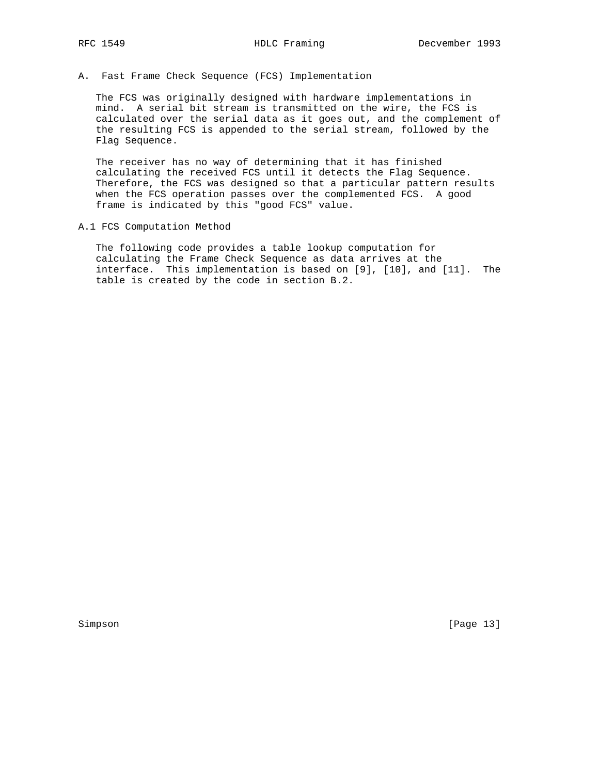A. Fast Frame Check Sequence (FCS) Implementation

 The FCS was originally designed with hardware implementations in mind. A serial bit stream is transmitted on the wire, the FCS is calculated over the serial data as it goes out, and the complement of the resulting FCS is appended to the serial stream, followed by the Flag Sequence.

 The receiver has no way of determining that it has finished calculating the received FCS until it detects the Flag Sequence. Therefore, the FCS was designed so that a particular pattern results when the FCS operation passes over the complemented FCS. A good frame is indicated by this "good FCS" value.

A.1 FCS Computation Method

 The following code provides a table lookup computation for calculating the Frame Check Sequence as data arrives at the interface. This implementation is based on [9], [10], and [11]. The table is created by the code in section B.2.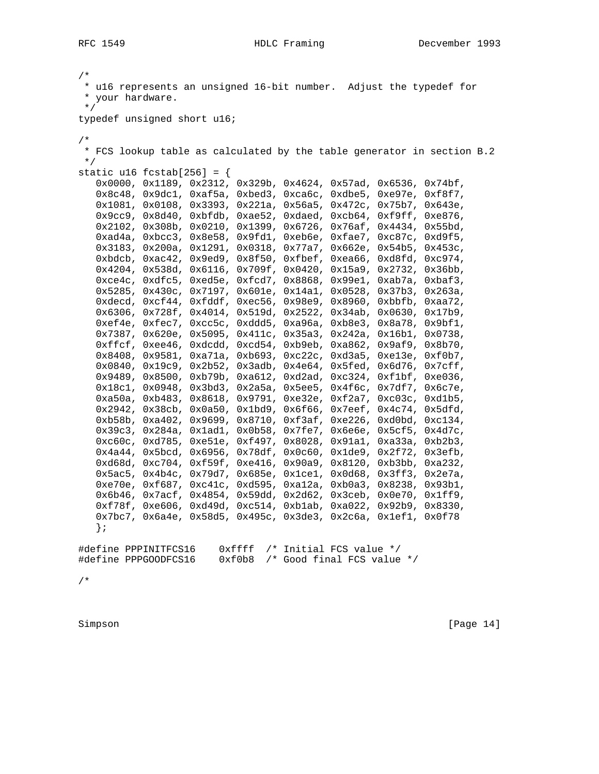```
/*
 * u16 represents an unsigned 16-bit number. Adjust the typedef for
 * your hardware.
 */
typedef unsigned short u16;
/*
 * FCS lookup table as calculated by the table generator in section B.2
 */
static u16 fcstab[256] = {
    0x0000, 0x1189, 0x2312, 0x329b, 0x4624, 0x57ad, 0x6536, 0x74bf,
    0x8c48, 0x9dc1, 0xaf5a, 0xbed3, 0xca6c, 0xdbe5, 0xe97e, 0xf8f7,
    0x1081, 0x0108, 0x3393, 0x221a, 0x56a5, 0x472c, 0x75b7, 0x643e,
    0x9cc9, 0x8d40, 0xbfdb, 0xae52, 0xdaed, 0xcb64, 0xf9ff, 0xe876,
    0x2102, 0x308b, 0x0210, 0x1399, 0x6726, 0x76af, 0x4434, 0x55bd,
    0xad4a, 0xbcc3, 0x8e58, 0x9fd1, 0xeb6e, 0xfae7, 0xc87c, 0xd9f5,
    0x3183, 0x200a, 0x1291, 0x0318, 0x77a7, 0x662e, 0x54b5, 0x453c,
    0xbdcb, 0xac42, 0x9ed9, 0x8f50, 0xfbef, 0xea66, 0xd8fd, 0xc974,
    0x4204, 0x538d, 0x6116, 0x709f, 0x0420, 0x15a9, 0x2732, 0x36bb,
    0xce4c, 0xdfc5, 0xed5e, 0xfcd7, 0x8868, 0x99e1, 0xab7a, 0xbaf3,
    0x5285, 0x430c, 0x7197, 0x601e, 0x14a1, 0x0528, 0x37b3, 0x263a,
    0xdecd, 0xcf44, 0xfddf, 0xec56, 0x98e9, 0x8960, 0xbbfb, 0xaa72,
    0x6306, 0x728f, 0x4014, 0x519d, 0x2522, 0x34ab, 0x0630, 0x17b9,
    0xef4e, 0xfec7, 0xcc5c, 0xddd5, 0xa96a, 0xb8e3, 0x8a78, 0x9bf1,
    0x7387, 0x620e, 0x5095, 0x411c, 0x35a3, 0x242a, 0x16b1, 0x0738,
    0xffcf, 0xee46, 0xdcdd, 0xcd54, 0xb9eb, 0xa862, 0x9af9, 0x8b70,
    0x8408, 0x9581, 0xa71a, 0xb693, 0xc22c, 0xd3a5, 0xe13e, 0xf0b7,
    0x0840, 0x19c9, 0x2b52, 0x3adb, 0x4e64, 0x5fed, 0x6d76, 0x7cff,
    0x9489, 0x8500, 0xb79b, 0xa612, 0xd2ad, 0xc324, 0xf1bf, 0xe036,
    0x18c1, 0x0948, 0x3bd3, 0x2a5a, 0x5ee5, 0x4f6c, 0x7df7, 0x6c7e,
    0xa50a, 0xb483, 0x8618, 0x9791, 0xe32e, 0xf2a7, 0xc03c, 0xd1b5,
    0x2942, 0x38cb, 0x0a50, 0x1bd9, 0x6f66, 0x7eef, 0x4c74, 0x5dfd,
    0xb58b, 0xa402, 0x9699, 0x8710, 0xf3af, 0xe226, 0xd0bd, 0xc134,
    0x39c3, 0x284a, 0x1ad1, 0x0b58, 0x7fe7, 0x6e6e, 0x5cf5, 0x4d7c,
    0xc60c, 0xd785, 0xe51e, 0xf497, 0x8028, 0x91a1, 0xa33a, 0xb2b3,
    0x4a44, 0x5bcd, 0x6956, 0x78df, 0x0c60, 0x1de9, 0x2f72, 0x3efb,
    0xd68d, 0xc704, 0xf59f, 0xe416, 0x90a9, 0x8120, 0xb3bb, 0xa232,
    0x5ac5, 0x4b4c, 0x79d7, 0x685e, 0x1ce1, 0x0d68, 0x3ff3, 0x2e7a,
    0xe70e, 0xf687, 0xc41c, 0xd595, 0xa12a, 0xb0a3, 0x8238, 0x93b1,
    0x6b46, 0x7acf, 0x4854, 0x59dd, 0x2d62, 0x3ceb, 0x0e70, 0x1ff9,
    0xf78f, 0xe606, 0xd49d, 0xc514, 0xb1ab, 0xa022, 0x92b9, 0x8330,
    0x7bc7, 0x6a4e, 0x58d5, 0x495c, 0x3de3, 0x2c6a, 0x1ef1, 0x0f78
    };
#define PPPINITFCS16 0xffff /* Initial FCS value */
#define PPPGOODFCS16 0xf0b8 /* Good final FCS value */
```
/\*

Simpson [Page 14]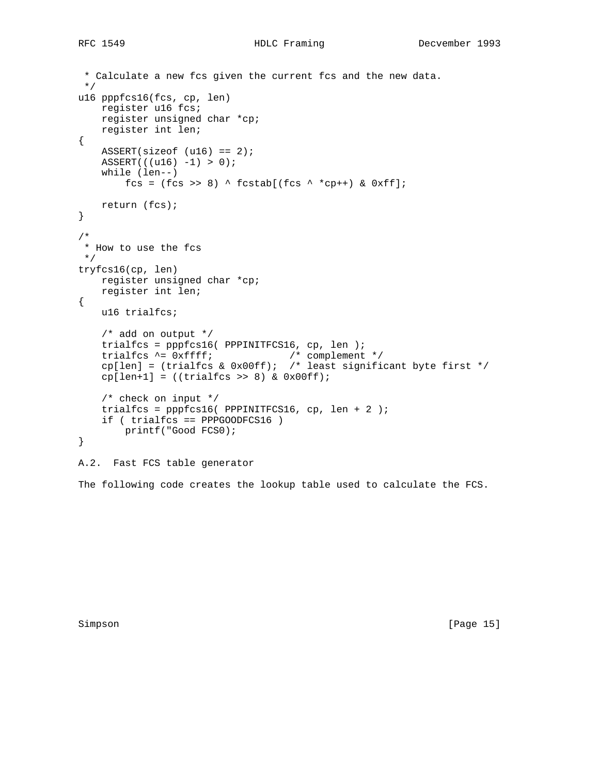```
 * Calculate a new fcs given the current fcs and the new data.
  */
u16 pppfcs16(fcs, cp, len)
    register u16 fcs;
    register unsigned char *cp;
    register int len;
{
   ASSERT(sizeof (u16) == 2);ASSERT((u16) -1) > 0); while (len--)
        fcs = (fcs \gg 8) ^ fcstab[(fcs ^ *cp++) & 0xff];
    return (fcs);
}
/*
 * How to use the fcs
 */
tryfcs16(cp, len)
    register unsigned char *cp;
    register int len;
{
    u16 trialfcs;
     /* add on output */
     trialfcs = pppfcs16( PPPINITFCS16, cp, len );
 trialfcs ^= 0xffff; /* complement */
cp[len] = (trialfcs & 0x00ff); /* least significant byte first */
    cp[len+1] = ((trialfcs \gg 8) & Qx00ff); /* check on input */
    trialfcs = ppfcs16( PPPINITFCS16, cp, len + 2);
     if ( trialfcs == PPPGOODFCS16 )
        printf("Good FCS0);
}
A.2. Fast FCS table generator
```
The following code creates the lookup table used to calculate the FCS.

Simpson [Page 15]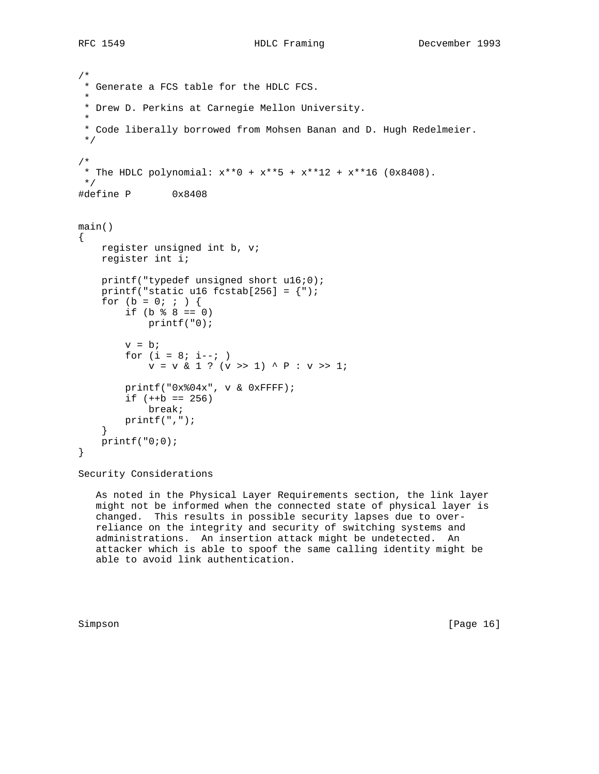```
/*
 * Generate a FCS table for the HDLC FCS.
 *
 * Drew D. Perkins at Carnegie Mellon University.
 *
  * Code liberally borrowed from Mohsen Banan and D. Hugh Redelmeier.
  */
/*
 * The HDLC polynomial: x^{**0} + x^{**5} + x^{**12} + x^{**16} (0x8408).
 */
#define P 0x8408
main()
{
    register unsigned int b, v;
     register int i;
     printf("typedef unsigned short u16;0);
    printf("static u16 fcstab[256] = \{");
    for (b = 0; ; )if (b \; 8 \; 8 == 0) printf("0);
        v = bifor (i = 8; i -jv = v & 1 ? (v \gg 1) ^ P : v \gg 1;
         printf("0x%04x", v & 0xFFFF);
        if (++b == 256) break;
         printf(",");
     }
    printf("0;0);
}
```
Security Considerations

 As noted in the Physical Layer Requirements section, the link layer might not be informed when the connected state of physical layer is changed. This results in possible security lapses due to over reliance on the integrity and security of switching systems and administrations. An insertion attack might be undetected. An attacker which is able to spoof the same calling identity might be able to avoid link authentication.

Simpson [Page 16]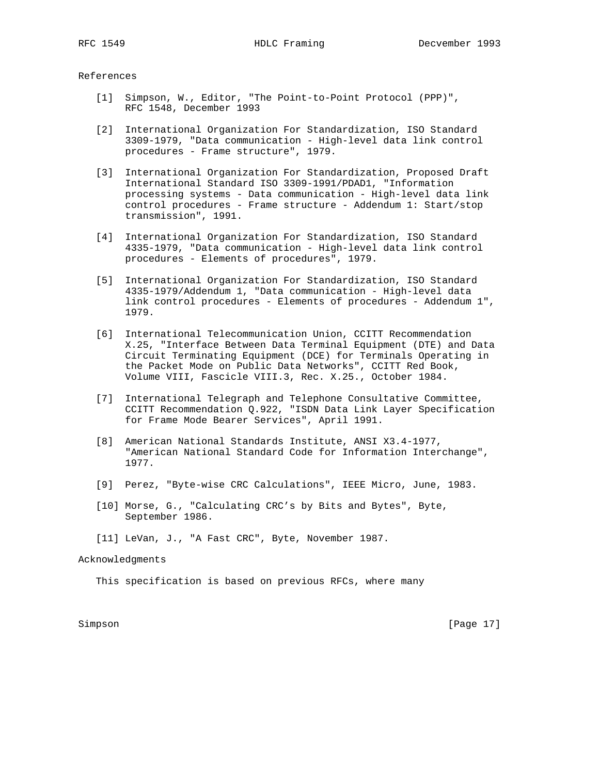References

- [1] Simpson, W., Editor, "The Point-to-Point Protocol (PPP)", RFC 1548, December 1993
- [2] International Organization For Standardization, ISO Standard 3309-1979, "Data communication - High-level data link control procedures - Frame structure", 1979.
- [3] International Organization For Standardization, Proposed Draft International Standard ISO 3309-1991/PDAD1, "Information processing systems - Data communication - High-level data link control procedures - Frame structure - Addendum 1: Start/stop transmission", 1991.
- [4] International Organization For Standardization, ISO Standard 4335-1979, "Data communication - High-level data link control procedures - Elements of procedures", 1979.
- [5] International Organization For Standardization, ISO Standard 4335-1979/Addendum 1, "Data communication - High-level data link control procedures - Elements of procedures - Addendum 1", 1979.
- [6] International Telecommunication Union, CCITT Recommendation X.25, "Interface Between Data Terminal Equipment (DTE) and Data Circuit Terminating Equipment (DCE) for Terminals Operating in the Packet Mode on Public Data Networks", CCITT Red Book, Volume VIII, Fascicle VIII.3, Rec. X.25., October 1984.
- [7] International Telegraph and Telephone Consultative Committee, CCITT Recommendation Q.922, "ISDN Data Link Layer Specification for Frame Mode Bearer Services", April 1991.
- [8] American National Standards Institute, ANSI X3.4-1977, "American National Standard Code for Information Interchange", 1977.
- [9] Perez, "Byte-wise CRC Calculations", IEEE Micro, June, 1983.
- [10] Morse, G., "Calculating CRC's by Bits and Bytes", Byte, September 1986.
- [11] LeVan, J., "A Fast CRC", Byte, November 1987.

## Acknowledgments

This specification is based on previous RFCs, where many

Simpson [Page 17]